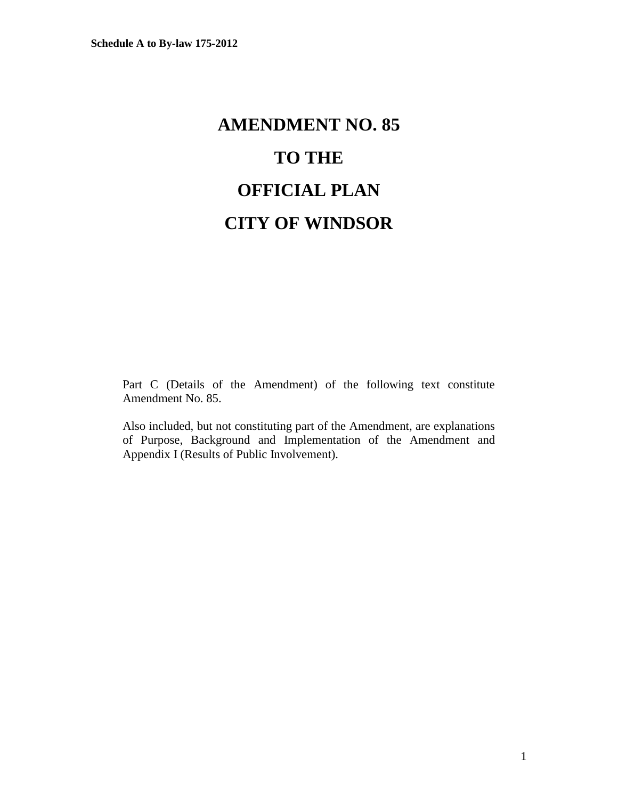# **AMENDMENT NO. 85 TO THE OFFICIAL PLAN CITY OF WINDSOR**

Part C (Details of the Amendment) of the following text constitute Amendment No. 85.

Also included, but not constituting part of the Amendment, are explanations of Purpose, Background and Implementation of the Amendment and Appendix I (Results of Public Involvement).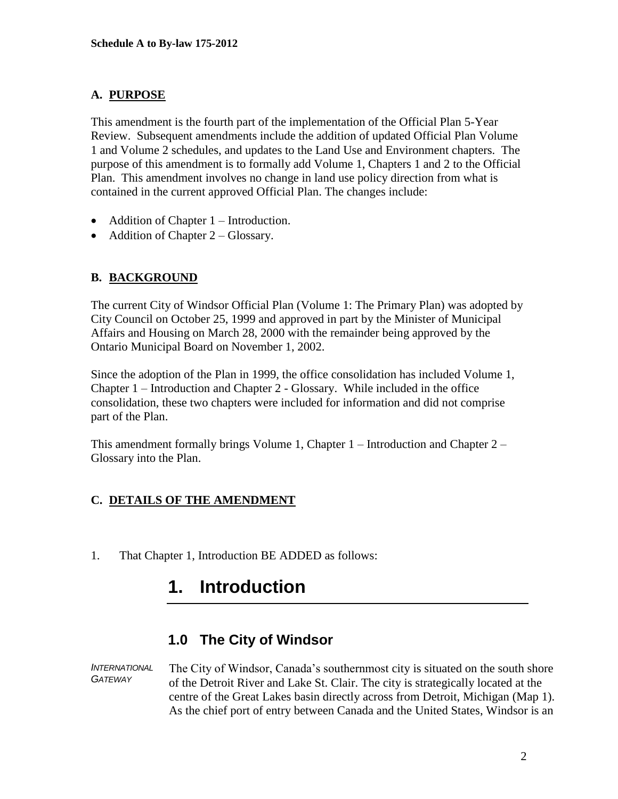#### **A. PURPOSE**

This amendment is the fourth part of the implementation of the Official Plan 5-Year Review. Subsequent amendments include the addition of updated Official Plan Volume 1 and Volume 2 schedules, and updates to the Land Use and Environment chapters. The purpose of this amendment is to formally add Volume 1, Chapters 1 and 2 to the Official Plan. This amendment involves no change in land use policy direction from what is contained in the current approved Official Plan. The changes include:

- Addition of Chapter 1 Introduction.
- Addition of Chapter 2 Glossary.

#### **B. BACKGROUND**

The current City of Windsor Official Plan (Volume 1: The Primary Plan) was adopted by City Council on October 25, 1999 and approved in part by the Minister of Municipal Affairs and Housing on March 28, 2000 with the remainder being approved by the Ontario Municipal Board on November 1, 2002.

Since the adoption of the Plan in 1999, the office consolidation has included Volume 1, Chapter 1 – Introduction and Chapter 2 - Glossary. While included in the office consolidation, these two chapters were included for information and did not comprise part of the Plan.

This amendment formally brings Volume 1, Chapter 1 – Introduction and Chapter 2 – Glossary into the Plan.

#### **C. DETAILS OF THE AMENDMENT**

1. That Chapter 1, Introduction BE ADDED as follows:

# **1. Introduction**

## **1.0 The City of Windsor**

*INTERNATIONAL GATEWAY* The City of Windsor, Canada's southernmost city is situated on the south shore of the Detroit River and Lake St. Clair. The city is strategically located at the centre of the Great Lakes basin directly across from Detroit, Michigan (Map 1). As the chief port of entry between Canada and the United States, Windsor is an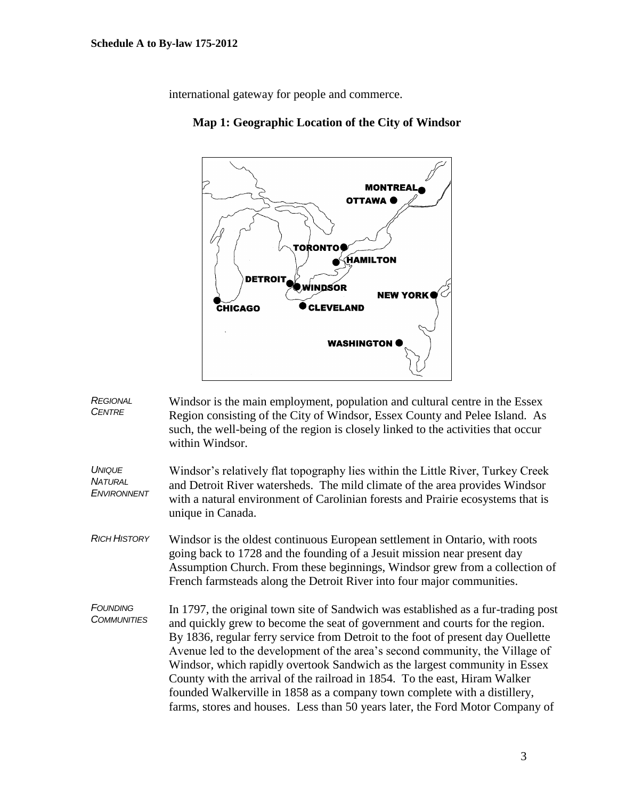international gateway for people and commerce.



#### **Map 1: Geographic Location of the City of Windsor**

*REGIONAL CENTRE* Windsor is the main employment, population and cultural centre in the Essex Region consisting of the City of Windsor, Essex County and Pelee Island. As such, the well-being of the region is closely linked to the activities that occur within Windsor.

*UNIQUE NATURAL ENVIRONNENT* Windsor's relatively flat topography lies within the Little River, Turkey Creek and Detroit River watersheds. The mild climate of the area provides Windsor with a natural environment of Carolinian forests and Prairie ecosystems that is unique in Canada.

*RICH HISTORY* Windsor is the oldest continuous European settlement in Ontario, with roots going back to 1728 and the founding of a Jesuit mission near present day Assumption Church. From these beginnings, Windsor grew from a collection of French farmsteads along the Detroit River into four major communities.

*FOUNDING COMMUNITIES* In 1797, the original town site of Sandwich was established as a fur-trading post and quickly grew to become the seat of government and courts for the region. By 1836, regular ferry service from Detroit to the foot of present day Ouellette Avenue led to the development of the area's second community, the Village of Windsor, which rapidly overtook Sandwich as the largest community in Essex County with the arrival of the railroad in 1854. To the east, Hiram Walker founded Walkerville in 1858 as a company town complete with a distillery, farms, stores and houses. Less than 50 years later, the Ford Motor Company of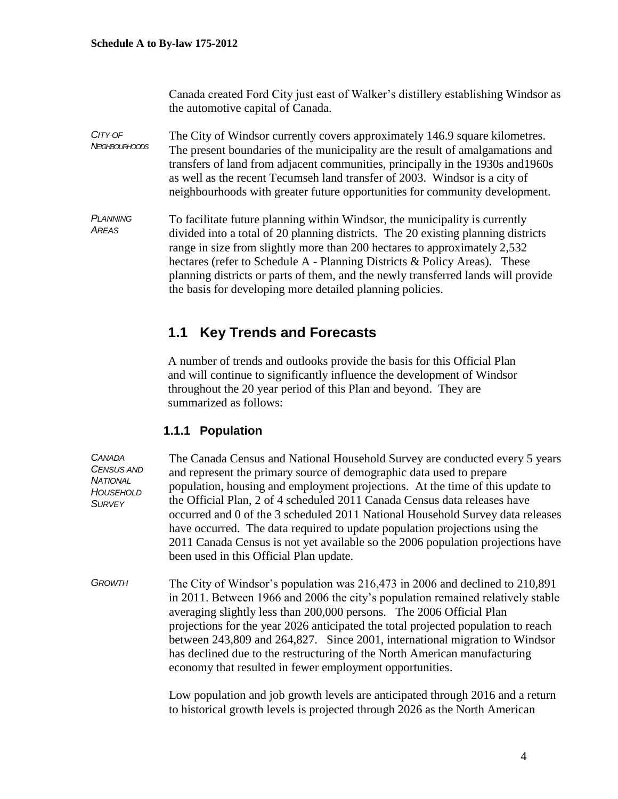Canada created Ford City just east of Walker's distillery establishing Windsor as the automotive capital of Canada.

- *CITY OF NEIGHBOURHOODS* The City of Windsor currently covers approximately 146.9 square kilometres. The present boundaries of the municipality are the result of amalgamations and transfers of land from adjacent communities, principally in the 1930s and1960s as well as the recent Tecumseh land transfer of 2003. Windsor is a city of neighbourhoods with greater future opportunities for community development.
- *PLANNING AREAS* To facilitate future planning within Windsor, the municipality is currently divided into a total of 20 planning districts. The 20 existing planning districts range in size from slightly more than 200 hectares to approximately 2,532 hectares (refer to Schedule A - Planning Districts & Policy Areas). These planning districts or parts of them, and the newly transferred lands will provide the basis for developing more detailed planning policies.

## **1.1 Key Trends and Forecasts**

A number of trends and outlooks provide the basis for this Official Plan and will continue to significantly influence the development of Windsor throughout the 20 year period of this Plan and beyond. They are summarized as follows:

#### **1.1.1 Population**

*CANADA CENSUS AND NATIONAL HOUSEHOLD SURVEY* The Canada Census and National Household Survey are conducted every 5 years and represent the primary source of demographic data used to prepare population, housing and employment projections. At the time of this update to the Official Plan, 2 of 4 scheduled 2011 Canada Census data releases have occurred and 0 of the 3 scheduled 2011 National Household Survey data releases have occurred. The data required to update population projections using the 2011 Canada Census is not yet available so the 2006 population projections have been used in this Official Plan update.

*GROWTH* The City of Windsor's population was 216,473 in 2006 and declined to 210,891 in 2011. Between 1966 and 2006 the city's population remained relatively stable averaging slightly less than 200,000 persons. The 2006 Official Plan projections for the year 2026 anticipated the total projected population to reach between 243,809 and 264,827. Since 2001, international migration to Windsor has declined due to the restructuring of the North American manufacturing economy that resulted in fewer employment opportunities.

> Low population and job growth levels are anticipated through 2016 and a return to historical growth levels is projected through 2026 as the North American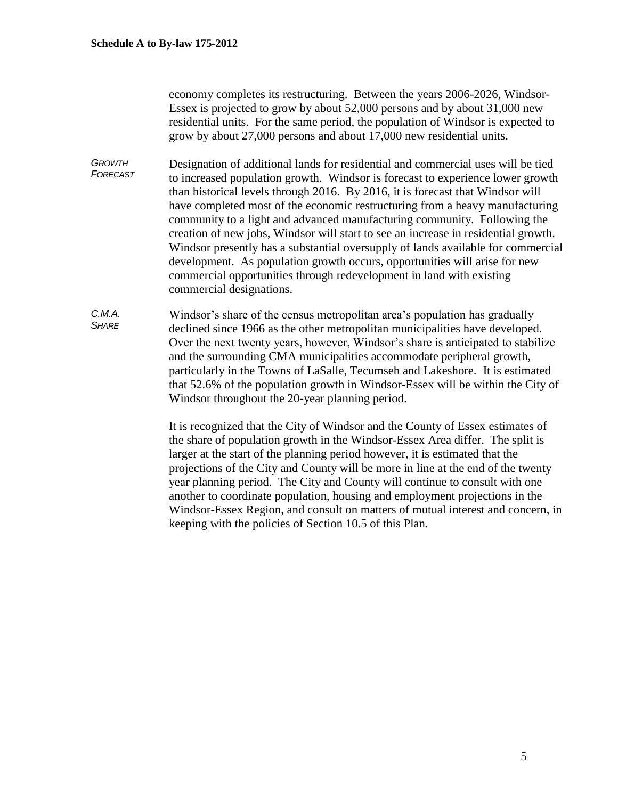economy completes its restructuring. Between the years 2006-2026, Windsor-Essex is projected to grow by about 52,000 persons and by about 31,000 new residential units. For the same period, the population of Windsor is expected to grow by about 27,000 persons and about 17,000 new residential units.

*GROWTH FORECAST* Designation of additional lands for residential and commercial uses will be tied to increased population growth. Windsor is forecast to experience lower growth than historical levels through 2016. By 2016, it is forecast that Windsor will have completed most of the economic restructuring from a heavy manufacturing community to a light and advanced manufacturing community. Following the creation of new jobs, Windsor will start to see an increase in residential growth. Windsor presently has a substantial oversupply of lands available for commercial development. As population growth occurs, opportunities will arise for new commercial opportunities through redevelopment in land with existing commercial designations.

*C.M.A. SHARE* Windsor's share of the census metropolitan area's population has gradually declined since 1966 as the other metropolitan municipalities have developed. Over the next twenty years, however, Windsor's share is anticipated to stabilize and the surrounding CMA municipalities accommodate peripheral growth, particularly in the Towns of LaSalle, Tecumseh and Lakeshore. It is estimated that 52.6% of the population growth in Windsor-Essex will be within the City of Windsor throughout the 20-year planning period.

> It is recognized that the City of Windsor and the County of Essex estimates of the share of population growth in the Windsor-Essex Area differ. The split is larger at the start of the planning period however, it is estimated that the projections of the City and County will be more in line at the end of the twenty year planning period. The City and County will continue to consult with one another to coordinate population, housing and employment projections in the Windsor-Essex Region, and consult on matters of mutual interest and concern, in keeping with the policies of Section 10.5 of this Plan.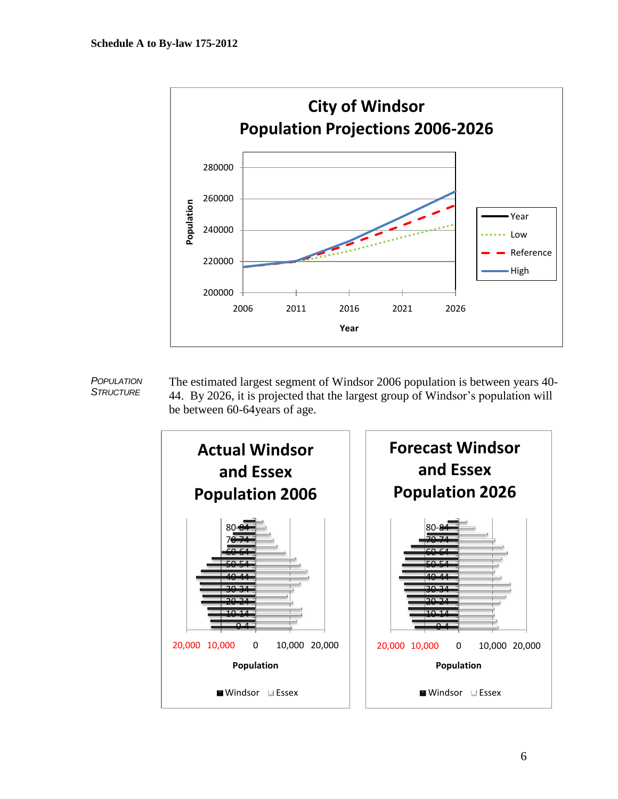



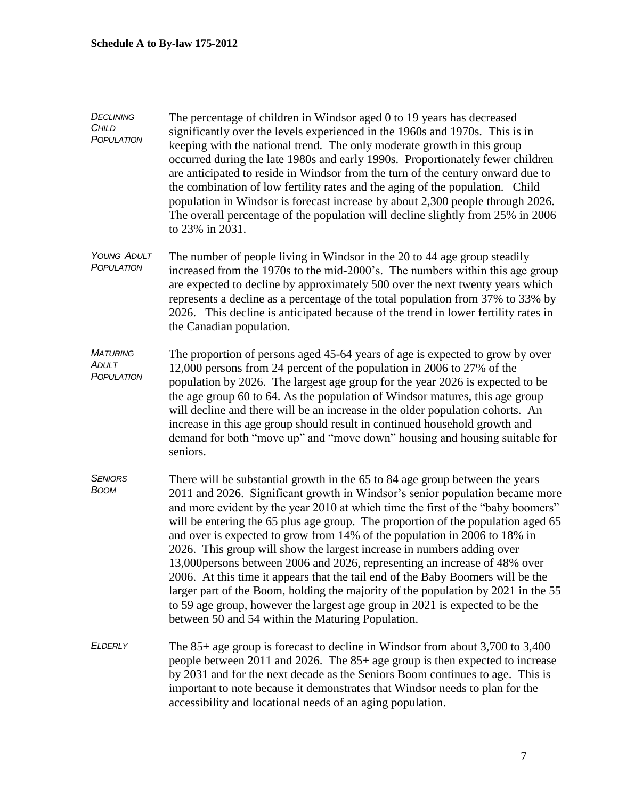- *DECLINING CHILD POPULATION* The percentage of children in Windsor aged 0 to 19 years has decreased significantly over the levels experienced in the 1960s and 1970s. This is in keeping with the national trend. The only moderate growth in this group occurred during the late 1980s and early 1990s. Proportionately fewer children are anticipated to reside in Windsor from the turn of the century onward due to the combination of low fertility rates and the aging of the population. Child population in Windsor is forecast increase by about 2,300 people through 2026. The overall percentage of the population will decline slightly from 25% in 2006 to 23% in 2031.
- *YOUNG ADULT POPULATION* The number of people living in Windsor in the 20 to 44 age group steadily increased from the 1970s to the mid-2000's. The numbers within this age group are expected to decline by approximately 500 over the next twenty years which represents a decline as a percentage of the total population from 37% to 33% by 2026. This decline is anticipated because of the trend in lower fertility rates in the Canadian population.
- *MATURING ADULT POPULATION* The proportion of persons aged 45-64 years of age is expected to grow by over 12,000 persons from 24 percent of the population in 2006 to 27% of the population by 2026. The largest age group for the year 2026 is expected to be the age group 60 to 64. As the population of Windsor matures, this age group will decline and there will be an increase in the older population cohorts. An increase in this age group should result in continued household growth and demand for both "move up" and "move down" housing and housing suitable for seniors.
- *SENIORS BOOM* There will be substantial growth in the 65 to 84 age group between the years 2011 and 2026. Significant growth in Windsor's senior population became more and more evident by the year 2010 at which time the first of the "baby boomers" will be entering the 65 plus age group. The proportion of the population aged 65 and over is expected to grow from 14% of the population in 2006 to 18% in 2026. This group will show the largest increase in numbers adding over 13,000persons between 2006 and 2026, representing an increase of 48% over 2006. At this time it appears that the tail end of the Baby Boomers will be the larger part of the Boom, holding the majority of the population by 2021 in the 55 to 59 age group, however the largest age group in 2021 is expected to be the between 50 and 54 within the Maturing Population.
- *ELDERLY* The 85+ age group is forecast to decline in Windsor from about 3,700 to 3,400 people between 2011 and 2026. The 85+ age group is then expected to increase by 2031 and for the next decade as the Seniors Boom continues to age. This is important to note because it demonstrates that Windsor needs to plan for the accessibility and locational needs of an aging population.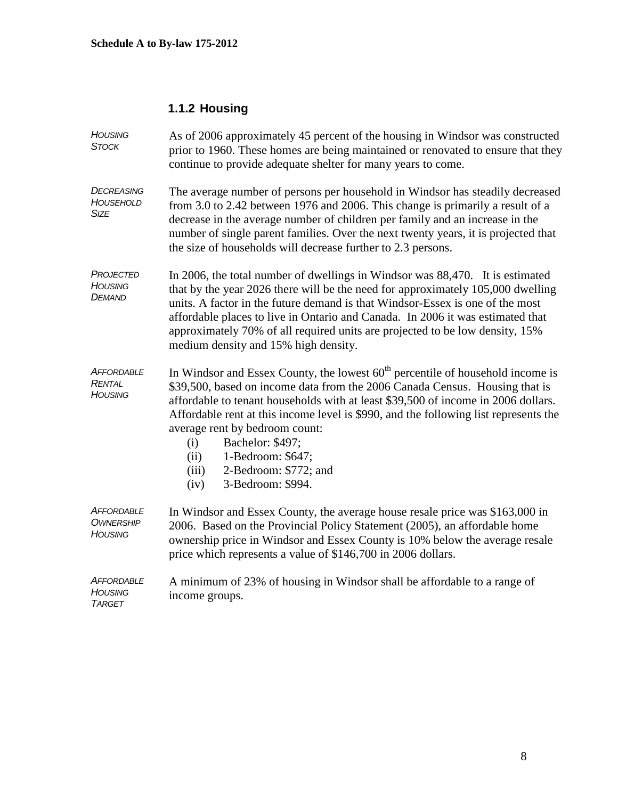# **1.1.2 Housing**

| <b>HOUSING</b><br><b>STOCK</b>                   | As of 2006 approximately 45 percent of the housing in Windsor was constructed<br>prior to 1960. These homes are being maintained or renovated to ensure that they<br>continue to provide adequate shelter for many years to come.                                                                                                                                                                                                                                                                     |  |  |  |
|--------------------------------------------------|-------------------------------------------------------------------------------------------------------------------------------------------------------------------------------------------------------------------------------------------------------------------------------------------------------------------------------------------------------------------------------------------------------------------------------------------------------------------------------------------------------|--|--|--|
| DECREASING<br>HOUSEHOLD<br><b>SIZE</b>           | The average number of persons per household in Windsor has steadily decreased<br>from 3.0 to 2.42 between 1976 and 2006. This change is primarily a result of a<br>decrease in the average number of children per family and an increase in the<br>number of single parent families. Over the next twenty years, it is projected that<br>the size of households will decrease further to 2.3 persons.                                                                                                 |  |  |  |
| PROJECTED<br>HOUSING<br><b>DEMAND</b>            | In 2006, the total number of dwellings in Windsor was 88,470. It is estimated<br>that by the year 2026 there will be the need for approximately 105,000 dwelling<br>units. A factor in the future demand is that Windsor-Essex is one of the most<br>affordable places to live in Ontario and Canada. In 2006 it was estimated that<br>approximately 70% of all required units are projected to be low density, 15%<br>medium density and 15% high density.                                           |  |  |  |
| AFFORDABLE<br>RENTAL<br><b>HOUSING</b>           | In Windsor and Essex County, the lowest $60th$ percentile of household income is<br>\$39,500, based on income data from the 2006 Canada Census. Housing that is<br>affordable to tenant households with at least \$39,500 of income in 2006 dollars.<br>Affordable rent at this income level is \$990, and the following list represents the<br>average rent by bedroom count:<br>Bachelor: \$497;<br>(i)<br>1-Bedroom: \$647;<br>(ii)<br>2-Bedroom: \$772; and<br>(iii)<br>3-Bedroom: \$994.<br>(iv) |  |  |  |
| <b>AFFORDABLE</b><br><b>OWNERSHIP</b><br>HOUSING | In Windsor and Essex County, the average house resale price was \$163,000 in<br>2006. Based on the Provincial Policy Statement (2005), an affordable home<br>ownership price in Windsor and Essex County is 10% below the average resale<br>price which represents a value of \$146,700 in 2006 dollars.                                                                                                                                                                                              |  |  |  |
| Affordable<br><b>HOUSING</b><br><b>TARGET</b>    | A minimum of 23% of housing in Windsor shall be affordable to a range of<br>income groups.                                                                                                                                                                                                                                                                                                                                                                                                            |  |  |  |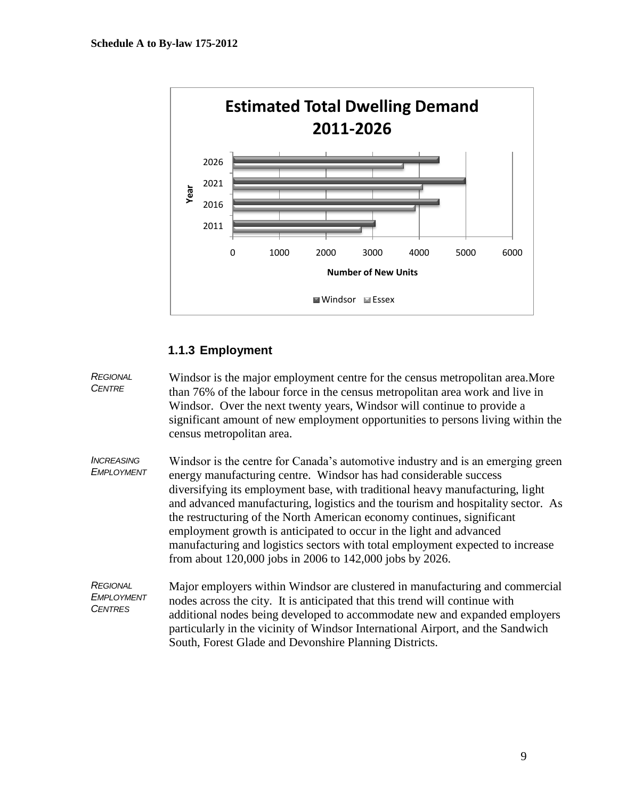

# **1.1.3 Employment**

| <b>REGIONAL</b><br><b>CENTRE</b>                       | Windsor is the major employment centre for the census metropolitan area. More<br>than 76% of the labour force in the census metropolitan area work and live in<br>Windsor. Over the next twenty years, Windsor will continue to provide a<br>significant amount of new employment opportunities to persons living within the<br>census metropolitan area.                                                                                                                                                                                                                                                                |
|--------------------------------------------------------|--------------------------------------------------------------------------------------------------------------------------------------------------------------------------------------------------------------------------------------------------------------------------------------------------------------------------------------------------------------------------------------------------------------------------------------------------------------------------------------------------------------------------------------------------------------------------------------------------------------------------|
| <b>INCREASING</b><br><b>EMPLOYMENT</b>                 | Windsor is the centre for Canada's automotive industry and is an emerging green<br>energy manufacturing centre. Windsor has had considerable success<br>diversifying its employment base, with traditional heavy manufacturing, light<br>and advanced manufacturing, logistics and the tourism and hospitality sector. As<br>the restructuring of the North American economy continues, significant<br>employment growth is anticipated to occur in the light and advanced<br>manufacturing and logistics sectors with total employment expected to increase<br>from about 120,000 jobs in 2006 to 142,000 jobs by 2026. |
| <b>REGIONAL</b><br><b>EMPLOYMENT</b><br><b>CENTRES</b> | Major employers within Windsor are clustered in manufacturing and commercial<br>nodes across the city. It is anticipated that this trend will continue with<br>additional nodes being developed to accommodate new and expanded employers<br>particularly in the vicinity of Windsor International Airport, and the Sandwich<br>South, Forest Glade and Devonshire Planning Districts.                                                                                                                                                                                                                                   |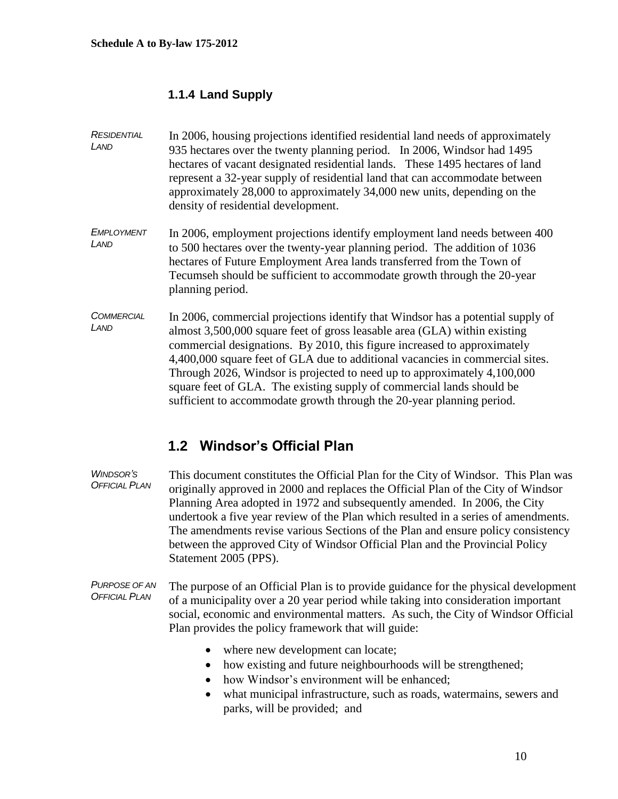#### **1.1.4 Land Supply**

- *RESIDENTIAL LAND* In 2006, housing projections identified residential land needs of approximately 935 hectares over the twenty planning period. In 2006, Windsor had 1495 hectares of vacant designated residential lands. These 1495 hectares of land represent a 32-year supply of residential land that can accommodate between approximately 28,000 to approximately 34,000 new units, depending on the density of residential development.
- *EMPLOYMENT LAND* In 2006, employment projections identify employment land needs between 400 to 500 hectares over the twenty-year planning period. The addition of 1036 hectares of Future Employment Area lands transferred from the Town of Tecumseh should be sufficient to accommodate growth through the 20-year planning period.
- *COMMERCIAL LAND* In 2006, commercial projections identify that Windsor has a potential supply of almost 3,500,000 square feet of gross leasable area (GLA) within existing commercial designations. By 2010, this figure increased to approximately 4,400,000 square feet of GLA due to additional vacancies in commercial sites. Through 2026, Windsor is projected to need up to approximately 4,100,000 square feet of GLA. The existing supply of commercial lands should be sufficient to accommodate growth through the 20-year planning period.

# **1.2 Windsor's Official Plan**

*WINDSOR'S OFFICIAL PLAN* This document constitutes the Official Plan for the City of Windsor. This Plan was originally approved in 2000 and replaces the Official Plan of the City of Windsor Planning Area adopted in 1972 and subsequently amended. In 2006, the City undertook a five year review of the Plan which resulted in a series of amendments. The amendments revise various Sections of the Plan and ensure policy consistency between the approved City of Windsor Official Plan and the Provincial Policy Statement 2005 (PPS).

*PURPOSE OF AN OFFICIAL PLAN* The purpose of an Official Plan is to provide guidance for the physical development of a municipality over a 20 year period while taking into consideration important social, economic and environmental matters. As such, the City of Windsor Official Plan provides the policy framework that will guide:

- where new development can locate;
- how existing and future neighbourhoods will be strengthened;
- how Windsor's environment will be enhanced:
- what municipal infrastructure, such as roads, watermains, sewers and parks, will be provided; and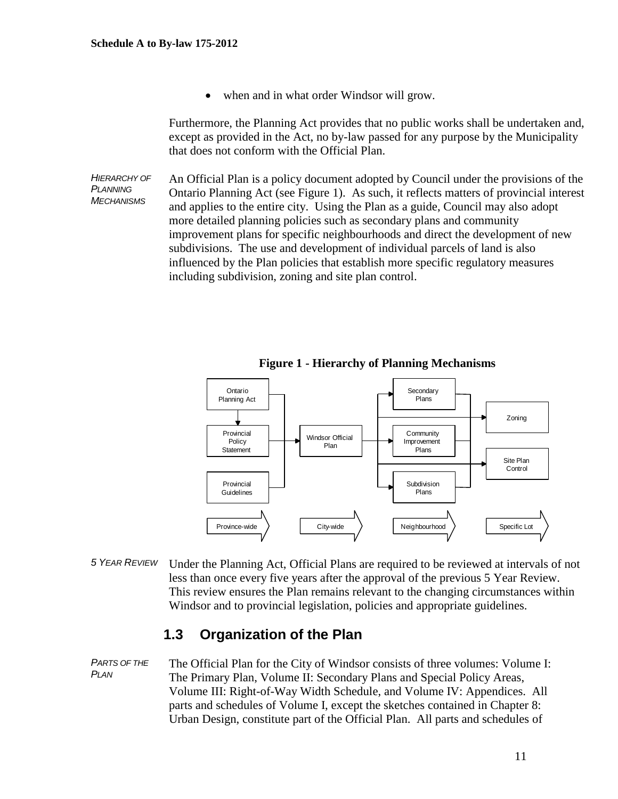• when and in what order Windsor will grow.

Furthermore, the Planning Act provides that no public works shall be undertaken and, except as provided in the Act, no by-law passed for any purpose by the Municipality that does not conform with the Official Plan.

*HIERARCHY OF PLANNING MECHANISMS* An Official Plan is a policy document adopted by Council under the provisions of the Ontario Planning Act (see Figure 1). As such, it reflects matters of provincial interest and applies to the entire city. Using the Plan as a guide, Council may also adopt more detailed planning policies such as secondary plans and community improvement plans for specific neighbourhoods and direct the development of new subdivisions. The use and development of individual parcels of land is also influenced by the Plan policies that establish more specific regulatory measures including subdivision, zoning and site plan control.



**Figure 1 - Hierarchy of Planning Mechanisms**

*5 YEAR REVIEW* Under the Planning Act, Official Plans are required to be reviewed at intervals of not less than once every five years after the approval of the previous 5 Year Review. This review ensures the Plan remains relevant to the changing circumstances within Windsor and to provincial legislation, policies and appropriate guidelines.

### **1.3 Organization of the Plan**

*PARTS OF THE PLAN* The Official Plan for the City of Windsor consists of three volumes: Volume I: The Primary Plan, Volume II: Secondary Plans and Special Policy Areas, Volume III: Right-of-Way Width Schedule, and Volume IV: Appendices. All parts and schedules of Volume I, except the sketches contained in Chapter 8: Urban Design, constitute part of the Official Plan. All parts and schedules of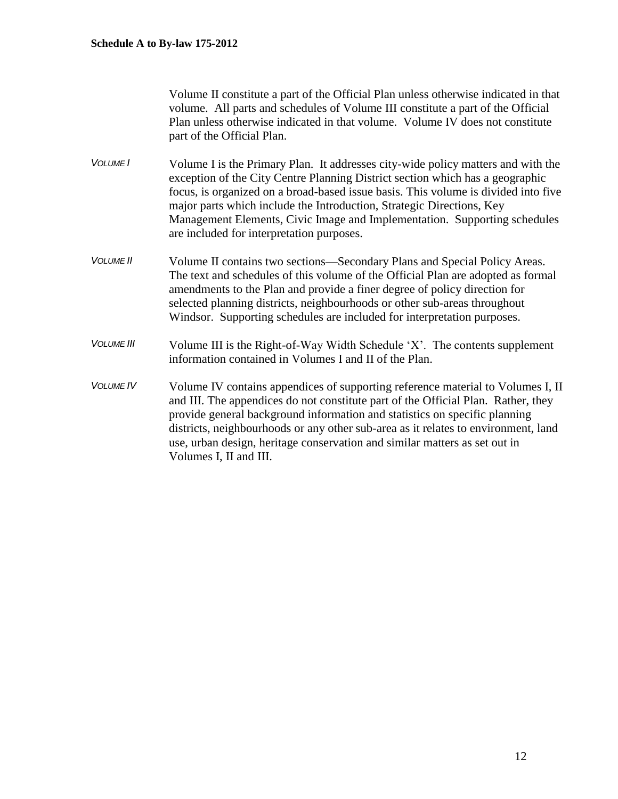Volume II constitute a part of the Official Plan unless otherwise indicated in that volume. All parts and schedules of Volume III constitute a part of the Official Plan unless otherwise indicated in that volume. Volume IV does not constitute part of the Official Plan.

- *VOLUME I* Volume I is the Primary Plan. It addresses city-wide policy matters and with the exception of the City Centre Planning District section which has a geographic focus, is organized on a broad-based issue basis. This volume is divided into five major parts which include the Introduction, Strategic Directions, Key Management Elements, Civic Image and Implementation. Supporting schedules are included for interpretation purposes.
- *VOLUME II* Volume II contains two sections—Secondary Plans and Special Policy Areas. The text and schedules of this volume of the Official Plan are adopted as formal amendments to the Plan and provide a finer degree of policy direction for selected planning districts, neighbourhoods or other sub-areas throughout Windsor. Supporting schedules are included for interpretation purposes.
- *VOLUME III* Volume III is the Right-of-Way Width Schedule  $X'$ . The contents supplement information contained in Volumes I and II of the Plan.
- *VOLUME IV* Volume IV contains appendices of supporting reference material to Volumes I, II and III. The appendices do not constitute part of the Official Plan. Rather, they provide general background information and statistics on specific planning districts, neighbourhoods or any other sub-area as it relates to environment, land use, urban design, heritage conservation and similar matters as set out in Volumes I, II and III.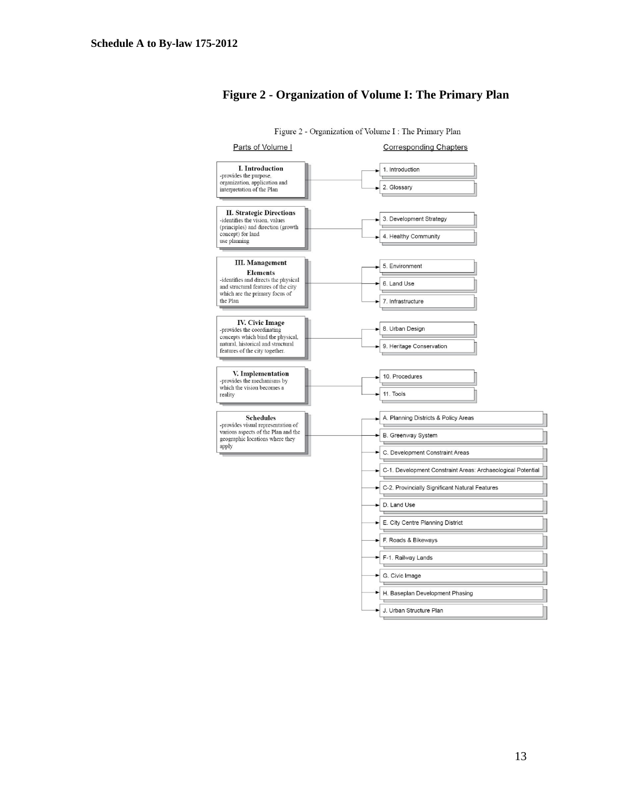

#### **Figure 2 - Organization of Volume I: The Primary Plan**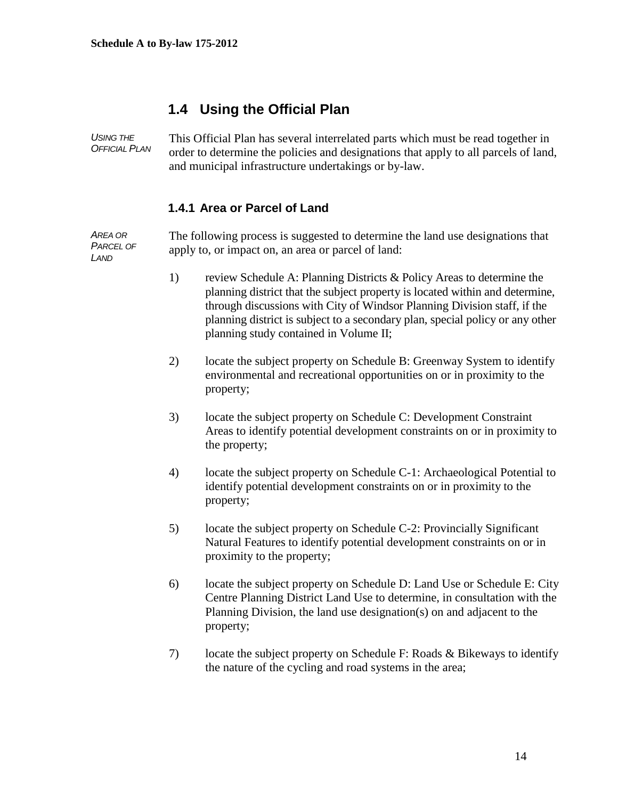# **1.4 Using the Official Plan**

*USING THE OFFICIAL PLAN* This Official Plan has several interrelated parts which must be read together in order to determine the policies and designations that apply to all parcels of land, and municipal infrastructure undertakings or by-law.

#### **1.4.1 Area or Parcel of Land**

*AREA OR PARCEL OF LAND* The following process is suggested to determine the land use designations that apply to, or impact on, an area or parcel of land:

- 1) review Schedule A: Planning Districts & Policy Areas to determine the planning district that the subject property is located within and determine, through discussions with City of Windsor Planning Division staff, if the planning district is subject to a secondary plan, special policy or any other planning study contained in Volume II;
- 2) locate the subject property on Schedule B: Greenway System to identify environmental and recreational opportunities on or in proximity to the property;
- 3) locate the subject property on Schedule C: Development Constraint Areas to identify potential development constraints on or in proximity to the property;
- 4) locate the subject property on Schedule C-1: Archaeological Potential to identify potential development constraints on or in proximity to the property;
- 5) locate the subject property on Schedule C-2: Provincially Significant Natural Features to identify potential development constraints on or in proximity to the property;
- 6) locate the subject property on Schedule D: Land Use or Schedule E: City Centre Planning District Land Use to determine, in consultation with the Planning Division, the land use designation(s) on and adjacent to the property;
- 7) locate the subject property on Schedule F: Roads & Bikeways to identify the nature of the cycling and road systems in the area;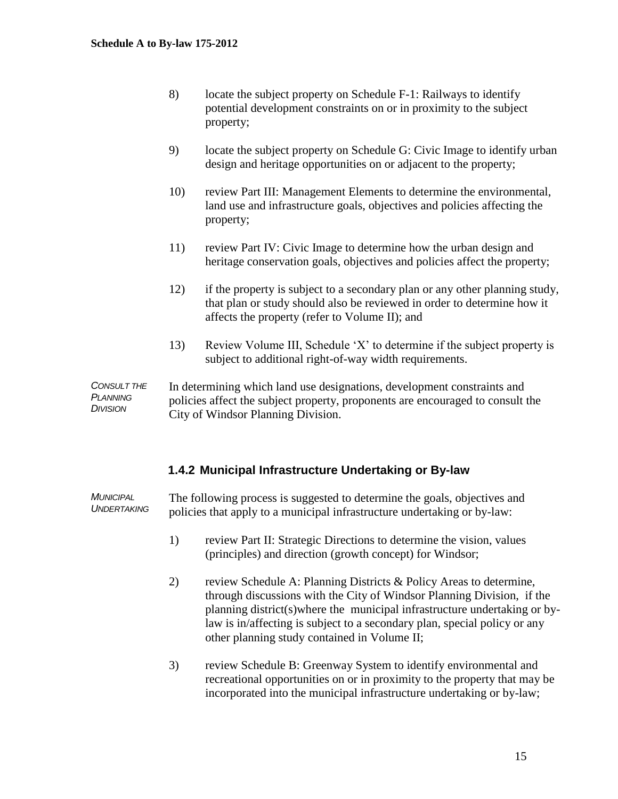- 8) locate the subject property on Schedule F-1: Railways to identify potential development constraints on or in proximity to the subject property;
- 9) locate the subject property on Schedule G: Civic Image to identify urban design and heritage opportunities on or adjacent to the property;
- 10) review Part III: Management Elements to determine the environmental, land use and infrastructure goals, objectives and policies affecting the property;
- 11) review Part IV: Civic Image to determine how the urban design and heritage conservation goals, objectives and policies affect the property;
- 12) if the property is subject to a secondary plan or any other planning study, that plan or study should also be reviewed in order to determine how it affects the property (refer to Volume II); and
- 13) Review Volume III, Schedule  $X'$  to determine if the subject property is subject to additional right-of-way width requirements.

*CONSULT THE PLANNING DIVISION* In determining which land use designations, development constraints and policies affect the subject property, proponents are encouraged to consult the City of Windsor Planning Division.

#### **1.4.2 Municipal Infrastructure Undertaking or By-law**

*MUNICIPAL UNDERTAKING* The following process is suggested to determine the goals, objectives and policies that apply to a municipal infrastructure undertaking or by-law: 1) review Part II: Strategic Directions to determine the vision, values (principles) and direction (growth concept) for Windsor; 2) review Schedule A: Planning Districts & Policy Areas to determine, through discussions with the City of Windsor Planning Division, if the planning district(s)where the municipal infrastructure undertaking or bylaw is in/affecting is subject to a secondary plan, special policy or any other planning study contained in Volume II; 3) review Schedule B: Greenway System to identify environmental and recreational opportunities on or in proximity to the property that may be incorporated into the municipal infrastructure undertaking or by-law;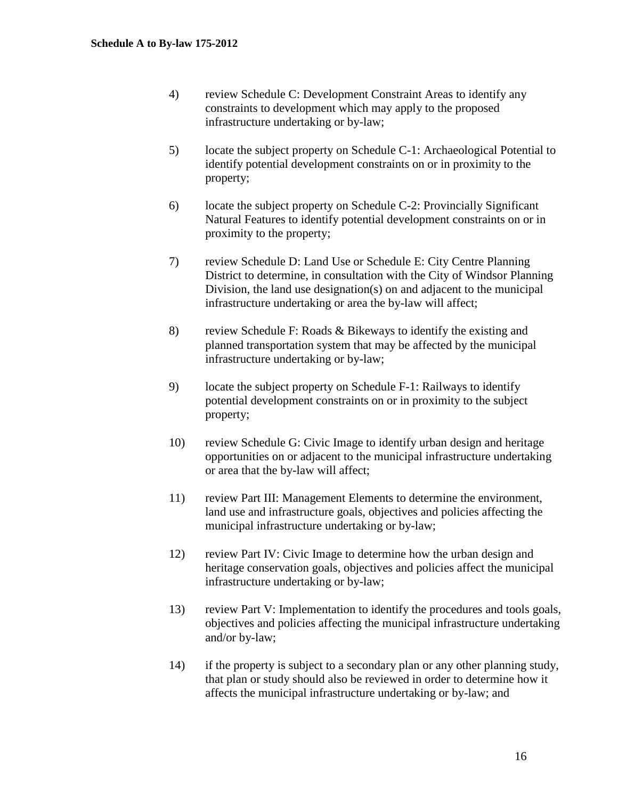- 4) review Schedule C: Development Constraint Areas to identify any constraints to development which may apply to the proposed infrastructure undertaking or by-law;
- 5) locate the subject property on Schedule C-1: Archaeological Potential to identify potential development constraints on or in proximity to the property;
- 6) locate the subject property on Schedule C-2: Provincially Significant Natural Features to identify potential development constraints on or in proximity to the property;
- 7) review Schedule D: Land Use or Schedule E: City Centre Planning District to determine, in consultation with the City of Windsor Planning Division, the land use designation(s) on and adjacent to the municipal infrastructure undertaking or area the by-law will affect;
- 8) review Schedule F: Roads & Bikeways to identify the existing and planned transportation system that may be affected by the municipal infrastructure undertaking or by-law;
- 9) locate the subject property on Schedule F-1: Railways to identify potential development constraints on or in proximity to the subject property;
- 10) review Schedule G: Civic Image to identify urban design and heritage opportunities on or adjacent to the municipal infrastructure undertaking or area that the by-law will affect;
- 11) review Part III: Management Elements to determine the environment, land use and infrastructure goals, objectives and policies affecting the municipal infrastructure undertaking or by-law;
- 12) review Part IV: Civic Image to determine how the urban design and heritage conservation goals, objectives and policies affect the municipal infrastructure undertaking or by-law;
- 13) review Part V: Implementation to identify the procedures and tools goals, objectives and policies affecting the municipal infrastructure undertaking and/or by-law;
- 14) if the property is subject to a secondary plan or any other planning study, that plan or study should also be reviewed in order to determine how it affects the municipal infrastructure undertaking or by-law; and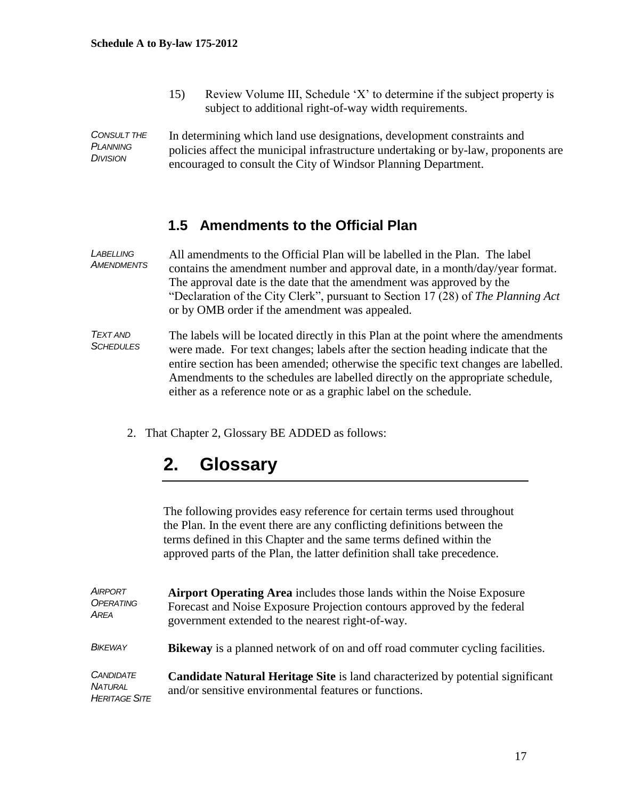15) Review Volume III, Schedule 'X' to determine if the subject property is subject to additional right-of-way width requirements.

*CONSULT THE PLANNING DIVISION* In determining which land use designations, development constraints and policies affect the municipal infrastructure undertaking or by-law, proponents are encouraged to consult the City of Windsor Planning Department.

### **1.5 Amendments to the Official Plan**

- *LABELLING AMENDMENTS* All amendments to the Official Plan will be labelled in the Plan. The label contains the amendment number and approval date, in a month/day/year format. The approval date is the date that the amendment was approved by the ―Declaration of the City Clerk‖, pursuant to Section 17 (28) of *The Planning Act* or by OMB order if the amendment was appealed.
- *TEXT AND SCHEDULES* The labels will be located directly in this Plan at the point where the amendments were made. For text changes; labels after the section heading indicate that the entire section has been amended; otherwise the specific text changes are labelled. Amendments to the schedules are labelled directly on the appropriate schedule, either as a reference note or as a graphic label on the schedule.
	- 2. That Chapter 2, Glossary BE ADDED as follows:

# **2. Glossary**

The following provides easy reference for certain terms used throughout the Plan. In the event there are any conflicting definitions between the terms defined in this Chapter and the same terms defined within the approved parts of the Plan, the latter definition shall take precedence.

| AIRPORT<br><b>OPERATING</b><br>AREA                        | <b>Airport Operating Area</b> includes those lands within the Noise Exposure<br>Forecast and Noise Exposure Projection contours approved by the federal<br>government extended to the nearest right-of-way. |
|------------------------------------------------------------|-------------------------------------------------------------------------------------------------------------------------------------------------------------------------------------------------------------|
| <b>BIKEWAY</b>                                             | <b>Bikeway</b> is a planned network of on and off road commuter cycling facilities.                                                                                                                         |
| <b>CANDIDATE</b><br><b>NATURAL</b><br><b>HERITAGE SITE</b> | <b>Candidate Natural Heritage Site</b> is land characterized by potential significant<br>and/or sensitive environmental features or functions.                                                              |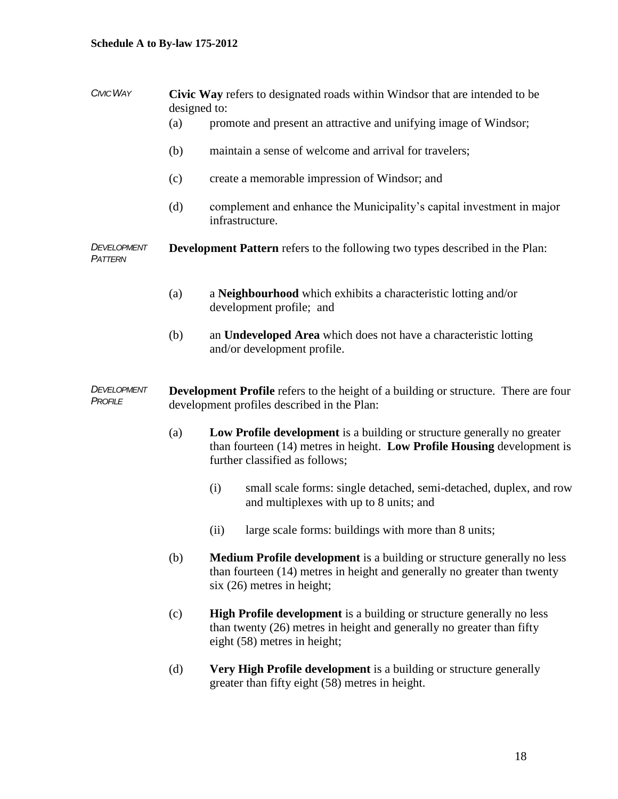| <b>CIVIC WAY</b>              | Civic Way refers to designated roads within Windsor that are intended to be<br>designed to:                                               |                                                                                                                                                                                               |  |  |  |
|-------------------------------|-------------------------------------------------------------------------------------------------------------------------------------------|-----------------------------------------------------------------------------------------------------------------------------------------------------------------------------------------------|--|--|--|
|                               | (a)                                                                                                                                       | promote and present an attractive and unifying image of Windsor;                                                                                                                              |  |  |  |
|                               | (b)                                                                                                                                       | maintain a sense of welcome and arrival for travelers;                                                                                                                                        |  |  |  |
|                               | (c)                                                                                                                                       | create a memorable impression of Windsor; and                                                                                                                                                 |  |  |  |
|                               | (d)                                                                                                                                       | complement and enhance the Municipality's capital investment in major<br>infrastructure.                                                                                                      |  |  |  |
| DEVELOPMENT<br><b>PATTERN</b> |                                                                                                                                           | <b>Development Pattern</b> refers to the following two types described in the Plan:                                                                                                           |  |  |  |
|                               | (a)                                                                                                                                       | a Neighbourhood which exhibits a characteristic lotting and/or<br>development profile; and                                                                                                    |  |  |  |
|                               | (b)                                                                                                                                       | an <b>Undeveloped Area</b> which does not have a characteristic lotting<br>and/or development profile.                                                                                        |  |  |  |
| DEVELOPMENT<br>PROFILE        | <b>Development Profile</b> refers to the height of a building or structure. There are four<br>development profiles described in the Plan: |                                                                                                                                                                                               |  |  |  |
|                               | (a)                                                                                                                                       | <b>Low Profile development</b> is a building or structure generally no greater<br>than fourteen $(14)$ metres in height. Low Profile Housing development is<br>further classified as follows; |  |  |  |
|                               |                                                                                                                                           | (i)<br>small scale forms: single detached, semi-detached, duplex, and row<br>and multiplexes with up to 8 units; and                                                                          |  |  |  |
|                               |                                                                                                                                           | large scale forms: buildings with more than 8 units;<br>(ii)                                                                                                                                  |  |  |  |
|                               | (b)                                                                                                                                       | <b>Medium Profile development</b> is a building or structure generally no less<br>than fourteen (14) metres in height and generally no greater than twenty<br>$six(26)$ metres in height;     |  |  |  |
|                               | (c)                                                                                                                                       | <b>High Profile development</b> is a building or structure generally no less<br>than twenty (26) metres in height and generally no greater than fifty<br>eight (58) metres in height;         |  |  |  |
|                               | (d)                                                                                                                                       | <b>Very High Profile development</b> is a building or structure generally<br>greater than fifty eight (58) metres in height.                                                                  |  |  |  |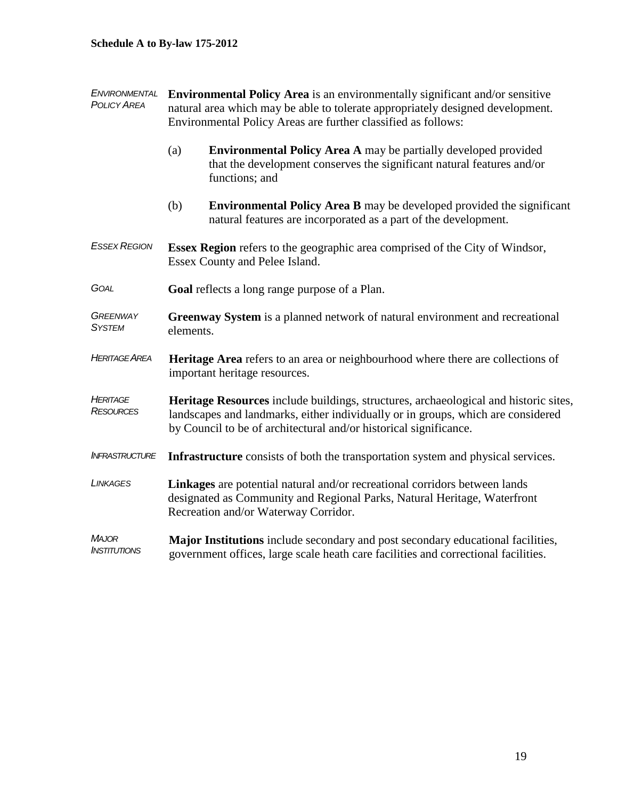*ENVIRONMENTAL POLICY AREA* **Environmental Policy Area** is an environmentally significant and/or sensitive natural area which may be able to tolerate appropriately designed development. Environmental Policy Areas are further classified as follows:

- (a) **Environmental Policy Area A** may be partially developed provided that the development conserves the significant natural features and/or functions; and
- (b) **Environmental Policy Area B** may be developed provided the significant natural features are incorporated as a part of the development.
- *ESSEX REGION* **Essex Region** refers to the geographic area comprised of the City of Windsor, Essex County and Pelee Island.
- *GOAL* **Goal** reflects a long range purpose of a Plan.
- *GREENWAY SYSTEM* **Greenway System** is a planned network of natural environment and recreational elements.
- HERITAGE AREA **Heritage Area** refers to an area or neighbourhood where there are collections of important heritage resources.
- *HERITAGE RESOURCES* **Heritage Resources** include buildings, structures, archaeological and historic sites, landscapes and landmarks, either individually or in groups, which are considered by Council to be of architectural and/or historical significance.
- *INFRASTRUCTURE* **Infrastructure** consists of both the transportation system and physical services.
- *LINKAGES* **Linkages** are potential natural and/or recreational corridors between lands designated as Community and Regional Parks, Natural Heritage, Waterfront Recreation and/or Waterway Corridor.
- *MAJOR INSTITUTIONS* **Major Institutions** include secondary and post secondary educational facilities, government offices, large scale heath care facilities and correctional facilities.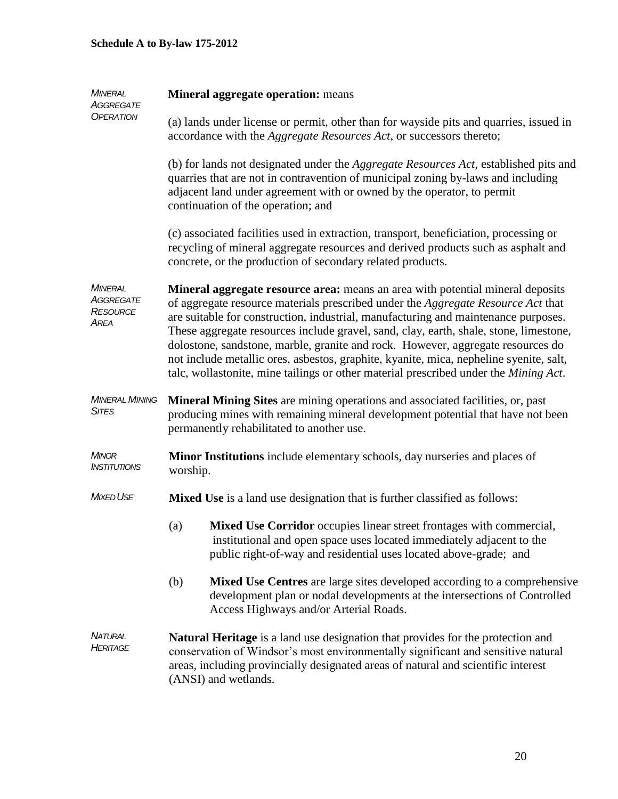| <b>MINERAL</b><br>AGGREGATE<br><b>OPERATION</b>               | <b>Mineral aggregate operation: means</b>                                                                                                                                                                                                                                                                                                                                                                                                                                                                                                                                                                              |                                                                                                                                                                                                                                          |  |  |
|---------------------------------------------------------------|------------------------------------------------------------------------------------------------------------------------------------------------------------------------------------------------------------------------------------------------------------------------------------------------------------------------------------------------------------------------------------------------------------------------------------------------------------------------------------------------------------------------------------------------------------------------------------------------------------------------|------------------------------------------------------------------------------------------------------------------------------------------------------------------------------------------------------------------------------------------|--|--|
|                                                               | (a) lands under license or permit, other than for wayside pits and quarries, issued in<br>accordance with the <i>Aggregate Resources Act</i> , or successors thereto;                                                                                                                                                                                                                                                                                                                                                                                                                                                  |                                                                                                                                                                                                                                          |  |  |
|                                                               | (b) for lands not designated under the <i>Aggregate Resources Act</i> , established pits and<br>quarries that are not in contravention of municipal zoning by-laws and including<br>adjacent land under agreement with or owned by the operator, to permit<br>continuation of the operation; and                                                                                                                                                                                                                                                                                                                       |                                                                                                                                                                                                                                          |  |  |
|                                                               |                                                                                                                                                                                                                                                                                                                                                                                                                                                                                                                                                                                                                        | (c) associated facilities used in extraction, transport, beneficiation, processing or<br>recycling of mineral aggregate resources and derived products such as asphalt and<br>concrete, or the production of secondary related products. |  |  |
| <b>MINERAL</b><br>AGGREGATE<br><b>RESOURCE</b><br><b>AREA</b> | Mineral aggregate resource area: means an area with potential mineral deposits<br>of aggregate resource materials prescribed under the Aggregate Resource Act that<br>are suitable for construction, industrial, manufacturing and maintenance purposes.<br>These aggregate resources include gravel, sand, clay, earth, shale, stone, limestone,<br>dolostone, sandstone, marble, granite and rock. However, aggregate resources do<br>not include metallic ores, asbestos, graphite, kyanite, mica, nepheline syenite, salt,<br>talc, wollastonite, mine tailings or other material prescribed under the Mining Act. |                                                                                                                                                                                                                                          |  |  |
| <b>MINERAL MINING</b><br><b>SITES</b>                         | Mineral Mining Sites are mining operations and associated facilities, or, past<br>producing mines with remaining mineral development potential that have not been<br>permanently rehabilitated to another use.                                                                                                                                                                                                                                                                                                                                                                                                         |                                                                                                                                                                                                                                          |  |  |
| <b>MINOR</b><br><i><b>INSTITUTIONS</b></i>                    | <b>Minor Institutions</b> include elementary schools, day nurseries and places of<br>worship.                                                                                                                                                                                                                                                                                                                                                                                                                                                                                                                          |                                                                                                                                                                                                                                          |  |  |
| <b>MIXED USE</b>                                              |                                                                                                                                                                                                                                                                                                                                                                                                                                                                                                                                                                                                                        | Mixed Use is a land use designation that is further classified as follows:                                                                                                                                                               |  |  |
|                                                               | (a)                                                                                                                                                                                                                                                                                                                                                                                                                                                                                                                                                                                                                    | Mixed Use Corridor occupies linear street frontages with commercial,<br>institutional and open space uses located immediately adjacent to the<br>public right-of-way and residential uses located above-grade; and                       |  |  |
|                                                               | (b)                                                                                                                                                                                                                                                                                                                                                                                                                                                                                                                                                                                                                    | Mixed Use Centres are large sites developed according to a comprehensive<br>development plan or nodal developments at the intersections of Controlled<br>Access Highways and/or Arterial Roads.                                          |  |  |
| NATURAL<br>HERITAGE                                           | Natural Heritage is a land use designation that provides for the protection and<br>conservation of Windsor's most environmentally significant and sensitive natural<br>areas, including provincially designated areas of natural and scientific interest<br>(ANSI) and wetlands.                                                                                                                                                                                                                                                                                                                                       |                                                                                                                                                                                                                                          |  |  |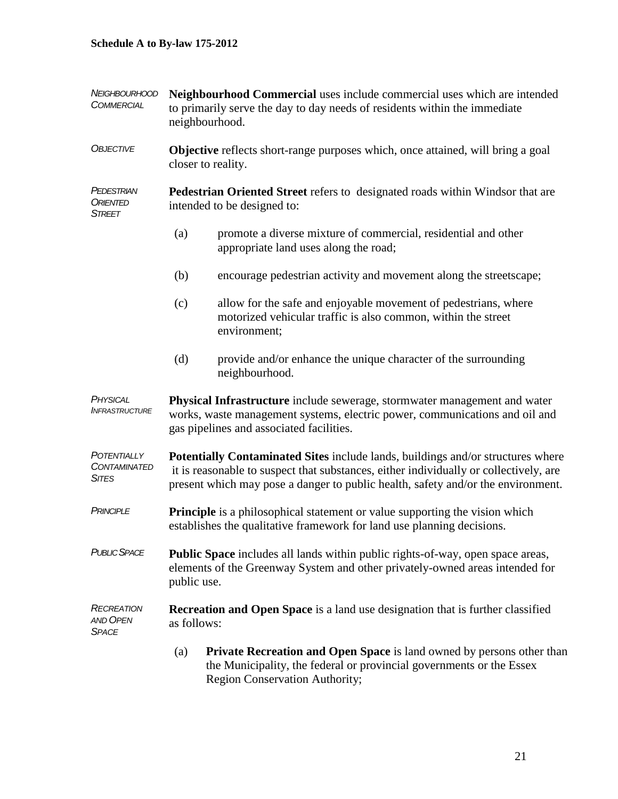| <i><b>COMMERCIAL</b></i> | NEIGHBOURHOOD Neighbourhood Commercial uses include commercial uses which are intended |
|--------------------------|----------------------------------------------------------------------------------------|
|                          | to primarily serve the day to day needs of residents within the immediate              |
|                          | neighbourhood.                                                                         |

*OBJECTIVE* **Objective** reflects short-range purposes which, once attained, will bring a goal closer to reality.

*PEDESTRIAN ORIENTED STREET* **Pedestrian Oriented Street** refers to designated roads within Windsor that are intended to be designed to:

- (a) promote a diverse mixture of commercial, residential and other appropriate land uses along the road;
- (b) encourage pedestrian activity and movement along the streetscape;
- (c) allow for the safe and enjoyable movement of pedestrians, where motorized vehicular traffic is also common, within the street environment;
- (d) provide and/or enhance the unique character of the surrounding neighbourhood.
- *PHYSICAL INFRASTRUCTURE* **Physical Infrastructure** include sewerage, stormwater management and water works, waste management systems, electric power, communications and oil and gas pipelines and associated facilities.

*POTENTIALLY CONTAMINATED SITES* **Potentially Contaminated Sites** include lands, buildings and/or structures where it is reasonable to suspect that substances, either individually or collectively, are present which may pose a danger to public health, safety and/or the environment.

- *PRINCIPLE* Principle is a philosophical statement or value supporting the vision which establishes the qualitative framework for land use planning decisions.
- *PUBLIC SPACE* **Public Space** includes all lands within public rights-of-way, open space areas, elements of the Greenway System and other privately-owned areas intended for public use.

*RECREATION AND OPEN SPACE* **Recreation and Open Space** is a land use designation that is further classified as follows:

> (a) **Private Recreation and Open Space** is land owned by persons other than the Municipality, the federal or provincial governments or the Essex Region Conservation Authority;